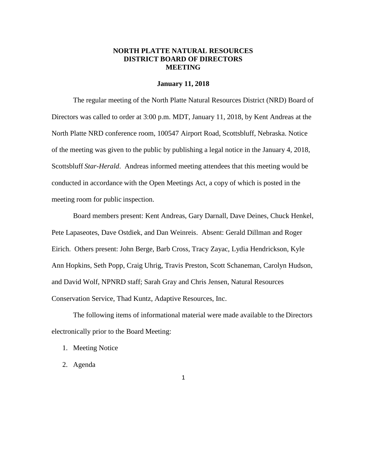## **NORTH PLATTE NATURAL RESOURCES DISTRICT BOARD OF DIRECTORS MEETING**

#### **January 11, 2018**

The regular meeting of the North Platte Natural Resources District (NRD) Board of Directors was called to order at 3:00 p.m. MDT, January 11, 2018, by Kent Andreas at the North Platte NRD conference room, 100547 Airport Road, Scottsbluff, Nebraska. Notice of the meeting was given to the public by publishing a legal notice in the January 4, 2018, Scottsbluff *Star-Herald*. Andreas informed meeting attendees that this meeting would be conducted in accordance with the Open Meetings Act, a copy of which is posted in the meeting room for public inspection.

Board members present: Kent Andreas, Gary Darnall, Dave Deines, Chuck Henkel, Pete Lapaseotes, Dave Ostdiek, and Dan Weinreis. Absent: Gerald Dillman and Roger Eirich. Others present: John Berge, Barb Cross, Tracy Zayac, Lydia Hendrickson, Kyle Ann Hopkins, Seth Popp, Craig Uhrig, Travis Preston, Scott Schaneman, Carolyn Hudson, and David Wolf, NPNRD staff; Sarah Gray and Chris Jensen, Natural Resources Conservation Service, Thad Kuntz, Adaptive Resources, Inc.

The following items of informational material were made available to the Directors electronically prior to the Board Meeting:

- 1. Meeting Notice
- 2. Agenda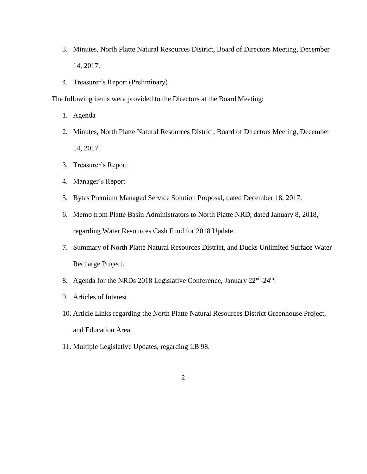- 3. Minutes, North Platte Natural Resources District, Board of Directors Meeting, December 14, 2017.
- 4. Treasurer's Report (Preliminary)

The following items were provided to the Directors at the Board Meeting:

- 1. Agenda
- 2. Minutes, North Platte Natural Resources District, Board of Directors Meeting, December 14, 2017.
- 3. Treasurer's Report
- 4. Manager's Report
- 5. Bytes Premium Managed Service Solution Proposal, dated December 18, 2017.
- 6. Memo from Platte Basin Administrators to North Platte NRD, dated January 8, 2018, regarding Water Resources Cash Fund for 2018 Update.
- 7. Summary of North Platte Natural Resources District, and Ducks Unlimited Surface Water Recharge Project.
- 8. Agenda for the NRDs 2018 Legislative Conference, January 22<sup>nd</sup>-24<sup>th</sup>.
- 9. Articles of Interest.
- 10. Article Links regarding the North Platte Natural Resources District Greenhouse Project, and Education Area.
- 11. Multiple Legislative Updates, regarding LB 98.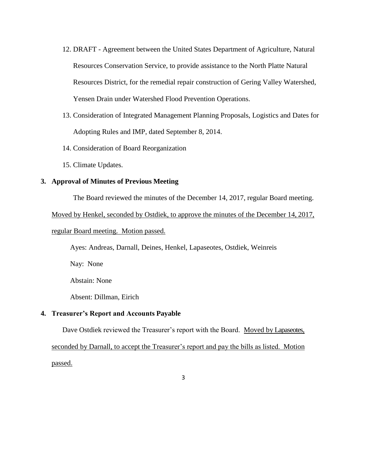- 12. DRAFT Agreement between the United States Department of Agriculture, Natural Resources Conservation Service, to provide assistance to the North Platte Natural Resources District, for the remedial repair construction of Gering Valley Watershed, Yensen Drain under Watershed Flood Prevention Operations.
- 13. Consideration of Integrated Management Planning Proposals, Logistics and Dates for Adopting Rules and IMP, dated September 8, 2014.
- 14. Consideration of Board Reorganization
- 15. Climate Updates.

### **3. Approval of Minutes of Previous Meeting**

The Board reviewed the minutes of the December 14, 2017, regular Board meeting.

Moved by Henkel, seconded by Ostdiek, to approve the minutes of the December 14, 2017,

#### regular Board meeting. Motion passed.

Ayes: Andreas, Darnall, Deines, Henkel, Lapaseotes, Ostdiek, Weinreis

Nay: None

Abstain: None

Absent: Dillman, Eirich

## **4. Treasurer's Report and Accounts Payable**

Dave Ostdiek reviewed the Treasurer's report with the Board. Moved by Lapaseotes,

seconded by Darnall, to accept the Treasurer's report and pay the bills as listed. Motion

passed.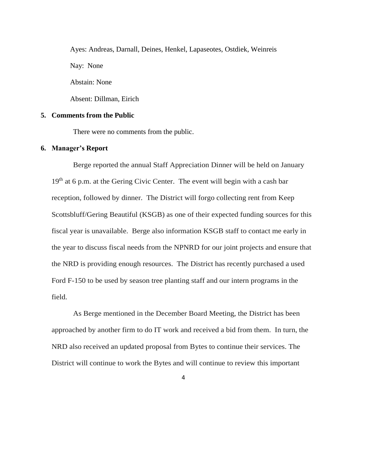Ayes: Andreas, Darnall, Deines, Henkel, Lapaseotes, Ostdiek, Weinreis Nay: None Abstain: None

Absent: Dillman, Eirich

#### **5. Comments from the Public**

There were no comments from the public.

#### **6. Manager's Report**

Berge reported the annual Staff Appreciation Dinner will be held on January  $19<sup>th</sup>$  at 6 p.m. at the Gering Civic Center. The event will begin with a cash bar reception, followed by dinner. The District will forgo collecting rent from Keep Scottsbluff/Gering Beautiful (KSGB) as one of their expected funding sources for this fiscal year is unavailable. Berge also information KSGB staff to contact me early in the year to discuss fiscal needs from the NPNRD for our joint projects and ensure that the NRD is providing enough resources. The District has recently purchased a used Ford F-150 to be used by season tree planting staff and our intern programs in the field.

As Berge mentioned in the December Board Meeting, the District has been approached by another firm to do IT work and received a bid from them. In turn, the NRD also received an updated proposal from Bytes to continue their services. The District will continue to work the Bytes and will continue to review this important

<sup>4</sup>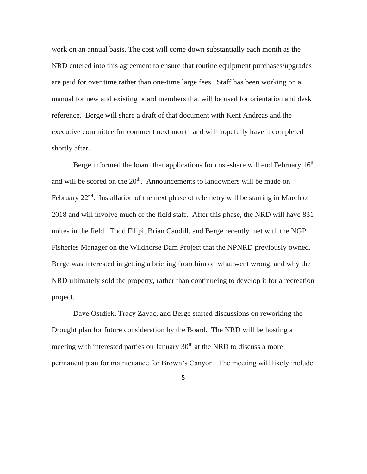work on an annual basis. The cost will come down substantially each month as the NRD entered into this agreement to ensure that routine equipment purchases/upgrades are paid for over time rather than one-time large fees. Staff has been working on a manual for new and existing board members that will be used for orientation and desk reference. Berge will share a draft of that document with Kent Andreas and the executive committee for comment next month and will hopefully have it completed shortly after.

Berge informed the board that applications for cost-share will end February  $16<sup>th</sup>$ and will be scored on the  $20<sup>th</sup>$ . Announcements to landowners will be made on February 22<sup>nd</sup>. Installation of the next phase of telemetry will be starting in March of 2018 and will involve much of the field staff. After this phase, the NRD will have 831 unites in the field. Todd Filipi, Brian Caudill, and Berge recently met with the NGP Fisheries Manager on the Wildhorse Dam Project that the NPNRD previously owned. Berge was interested in getting a briefing from him on what went wrong, and why the NRD ultimately sold the property, rather than continueing to develop it for a recreation project.

Dave Ostdiek, Tracy Zayac, and Berge started discussions on reworking the Drought plan for future consideration by the Board. The NRD will be hosting a meeting with interested parties on January  $30<sup>th</sup>$  at the NRD to discuss a more permanent plan for maintenance for Brown's Canyon. The meeting will likely include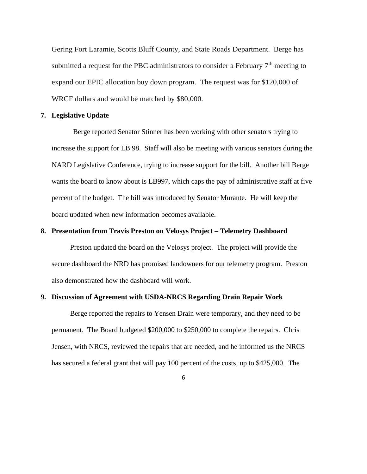Gering Fort Laramie, Scotts Bluff County, and State Roads Department. Berge has submitted a request for the PBC administrators to consider a February  $7<sup>th</sup>$  meeting to expand our EPIC allocation buy down program. The request was for \$120,000 of WRCF dollars and would be matched by \$80,000.

#### **7. Legislative Update**

Berge reported Senator Stinner has been working with other senators trying to increase the support for LB 98. Staff will also be meeting with various senators during the NARD Legislative Conference, trying to increase support for the bill. Another bill Berge wants the board to know about is LB997, which caps the pay of administrative staff at five percent of the budget. The bill was introduced by Senator Murante. He will keep the board updated when new information becomes available.

#### **8. Presentation from Travis Preston on Velosys Project – Telemetry Dashboard**

Preston updated the board on the Velosys project. The project will provide the secure dashboard the NRD has promised landowners for our telemetry program. Preston also demonstrated how the dashboard will work.

#### **9. Discussion of Agreement with USDA-NRCS Regarding Drain Repair Work**

Berge reported the repairs to Yensen Drain were temporary, and they need to be permanent. The Board budgeted \$200,000 to \$250,000 to complete the repairs. Chris Jensen, with NRCS, reviewed the repairs that are needed, and he informed us the NRCS has secured a federal grant that will pay 100 percent of the costs, up to \$425,000. The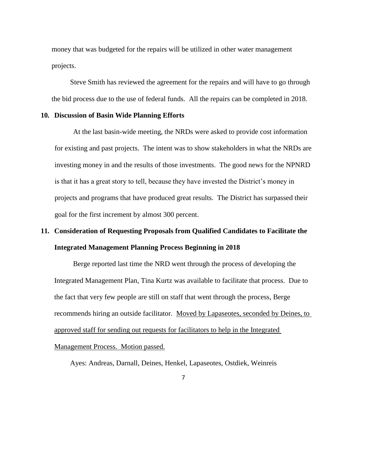money that was budgeted for the repairs will be utilized in other water management projects.

Steve Smith has reviewed the agreement for the repairs and will have to go through the bid process due to the use of federal funds. All the repairs can be completed in 2018.

#### **10. Discussion of Basin Wide Planning Efforts**

At the last basin-wide meeting, the NRDs were asked to provide cost information for existing and past projects. The intent was to show stakeholders in what the NRDs are investing money in and the results of those investments. The good news for the NPNRD is that it has a great story to tell, because they have invested the District's money in projects and programs that have produced great results. The District has surpassed their goal for the first increment by almost 300 percent.

# **11. Consideration of Requesting Proposals from Qualified Candidates to Facilitate the Integrated Management Planning Process Beginning in 2018**

Berge reported last time the NRD went through the process of developing the Integrated Management Plan, Tina Kurtz was available to facilitate that process. Due to the fact that very few people are still on staff that went through the process, Berge recommends hiring an outside facilitator. Moved by Lapaseotes, seconded by Deines, to approved staff for sending out requests for facilitators to help in the Integrated Management Process. Motion passed.

Ayes: Andreas, Darnall, Deines, Henkel, Lapaseotes, Ostdiek, Weinreis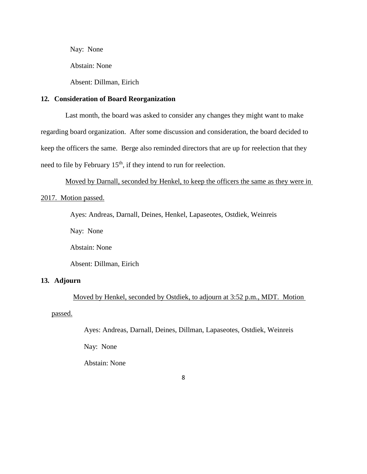Nay: None

Abstain: None

Absent: Dillman, Eirich

## **12. Consideration of Board Reorganization**

Last month, the board was asked to consider any changes they might want to make regarding board organization. After some discussion and consideration, the board decided to keep the officers the same. Berge also reminded directors that are up for reelection that they need to file by February  $15<sup>th</sup>$ , if they intend to run for reelection.

Moved by Darnall, seconded by Henkel, to keep the officers the same as they were in 2017. Motion passed.

Ayes: Andreas, Darnall, Deines, Henkel, Lapaseotes, Ostdiek, Weinreis

Nay: None

Abstain: None

Absent: Dillman, Eirich

## **13. Adjourn**

Moved by Henkel, seconded by Ostdiek, to adjourn at 3:52 p.m., MDT. Motion passed.

Ayes: Andreas, Darnall, Deines, Dillman, Lapaseotes, Ostdiek, Weinreis

Nay: None

Abstain: None